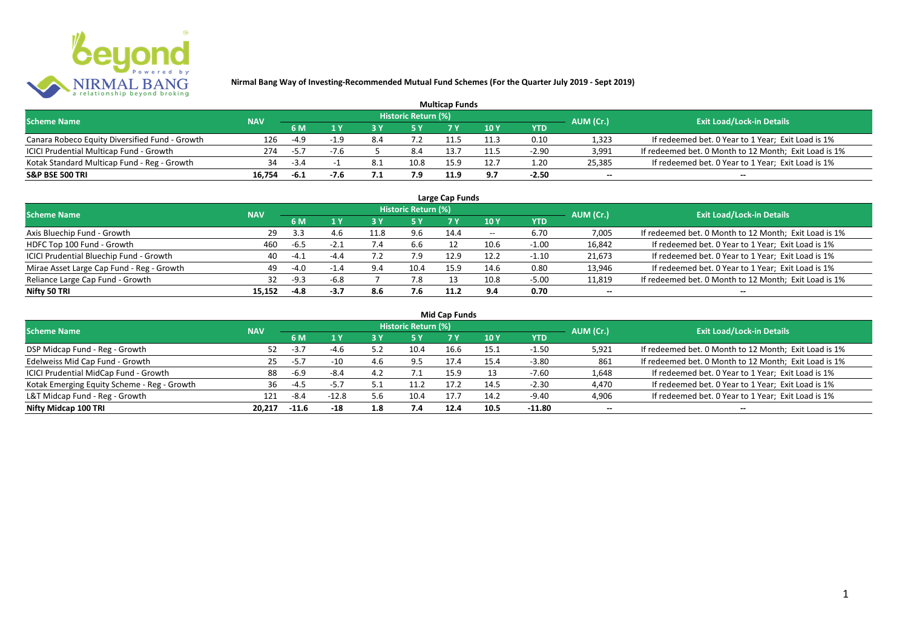

| <b>Multicap Funds</b>                          |            |        |  |     |                            |      |      |         |                          |                                                       |  |  |
|------------------------------------------------|------------|--------|--|-----|----------------------------|------|------|---------|--------------------------|-------------------------------------------------------|--|--|
| <b>Scheme Name</b>                             | <b>NAV</b> |        |  |     | <b>Historic Return (%)</b> |      |      |         | AUM (Cr.)                | <b>Exit Load/Lock-in Details</b>                      |  |  |
|                                                |            | 6 M    |  |     |                            |      | 10Y  | YTD     |                          |                                                       |  |  |
| Canara Robeco Equity Diversified Fund - Growth | 126        | $-4.9$ |  | 8.4 |                            |      | 11.3 | 0.10    | 1,323                    | If redeemed bet. 0 Year to 1 Year; Exit Load is 1%    |  |  |
| ICICI Prudential Multicap Fund - Growth        | 274        | $-5.7$ |  |     | 8.4                        | 13.  | 11.5 | $-2.90$ | 3,991                    | If redeemed bet. 0 Month to 12 Month; Exit Load is 1% |  |  |
| Kotak Standard Multicap Fund - Reg - Growth    | 34         | $-3.4$ |  | 8.1 | 10.8                       |      |      | 1.20    | 25,385                   | If redeemed bet. 0 Year to 1 Year; Exit Load is 1%    |  |  |
| S&P BSE 500 TRI                                | 16.754     | -6.1   |  |     | 7.9                        | 11.9 | 9.7  | $-2.50$ | $\overline{\phantom{a}}$ | $\overline{\phantom{a}}$                              |  |  |

| Large Cap Funds<br>Historic Return (%)    |            |        |        |             |      |      |       |            |                          |                                                       |  |  |  |
|-------------------------------------------|------------|--------|--------|-------------|------|------|-------|------------|--------------------------|-------------------------------------------------------|--|--|--|
| <b>Scheme Name</b>                        | <b>NAV</b> | 6 M    | 1 Y    |             | 5 Y  |      | 10Y   | <b>YTD</b> | AUM (Cr.)                | <b>Exit Load/Lock-in Details</b>                      |  |  |  |
| Axis Bluechip Fund - Growth               | -29        | 3.3    | 4.6    | 11.8        | 9.6  | 14.4 | $- -$ | 6.70       | 7,005                    | If redeemed bet. 0 Month to 12 Month; Exit Load is 1% |  |  |  |
| HDFC Top 100 Fund - Growth                | 460        | $-6.5$ | $-2.1$ |             | 6.6  |      | 10.6  | $-1.00$    | 16,842                   | If redeemed bet. 0 Year to 1 Year; Exit Load is 1%    |  |  |  |
| ICICI Prudential Bluechip Fund - Growth   | 40         | $-4.1$ | $-4.4$ |             | 7.9  | 12.9 | 12.2  | $-1.10$    | 21,673                   | If redeemed bet. 0 Year to 1 Year; Exit Load is 1%    |  |  |  |
| Mirae Asset Large Cap Fund - Reg - Growth | 49         | $-4.0$ | $-1.4$ | $Q \Lambda$ | 10.4 | 15.9 | 14.6  | 0.80       | 13,946                   | If redeemed bet. 0 Year to 1 Year; Exit Load is 1%    |  |  |  |
| Reliance Large Cap Fund - Growth          |            | $-9.3$ | $-6.8$ |             | 7.8  |      | 10.8  | $-5.00$    | 11,819                   | If redeemed bet. 0 Month to 12 Month; Exit Load is 1% |  |  |  |
| Nifty 50 TRI                              | 15.152     | $-4.8$ | $-3.7$ | 8.6         | 7.6  | 11.2 | 9.4   | 0.70       | $\overline{\phantom{a}}$ | $\overline{\phantom{a}}$                              |  |  |  |

|  |  | <b>Mid Cap Funds</b> |
|--|--|----------------------|
|--|--|----------------------|

| <b>Scheme Name</b>                          | <b>NAV</b> |         |         |     | Historic Return (%) |      |      |            | AUM (Cr.)                | <b>Exit Load/Lock-in Details</b>                      |
|---------------------------------------------|------------|---------|---------|-----|---------------------|------|------|------------|--------------------------|-------------------------------------------------------|
|                                             |            | 6 M     |         |     | /5 Y                |      | 10 Y | <b>YTD</b> |                          |                                                       |
| DSP Midcap Fund - Reg - Growth              | 52         | $-3.7$  | $-4.6$  | 5.2 | 10.4                | 16.6 | 15.1 | $-1.50$    | 5,921                    | If redeemed bet. 0 Month to 12 Month; Exit Load is 1% |
| Edelweiss Mid Cap Fund - Growth             | 25         | $-5.7$  | $-10$   |     |                     |      | 15.4 | $-3.80$    | 861                      | If redeemed bet. 0 Month to 12 Month; Exit Load is 1% |
| ICICI Prudential MidCap Fund - Growth       | 88         | -6.9    | $-8.4$  | 4.2 |                     | 15.9 |      | $-7.60$    | 1,648                    | If redeemed bet. 0 Year to 1 Year; Exit Load is 1%    |
| Kotak Emerging Equity Scheme - Reg - Growth | 36         | $-4$ .  | -5.7    |     |                     | 17.2 | 14.5 | $-2.30$    | 4,470                    | If redeemed bet. 0 Year to 1 Year; Exit Load is 1%    |
| L&T Midcap Fund - Reg - Growth              | 121        | -8.4    | $-12.8$ | 5.6 | 10.4                | 17.7 | 14.2 | $-9.40$    | 4,906                    | If redeemed bet. 0 Year to 1 Year; Exit Load is 1%    |
| Nifty Midcap 100 TRI                        | 20.217     | $-11.6$ | -18     | 1.8 | 7.4                 | 12.4 | 10.5 | $-11.80$   | $\overline{\phantom{a}}$ | $\overline{\phantom{a}}$                              |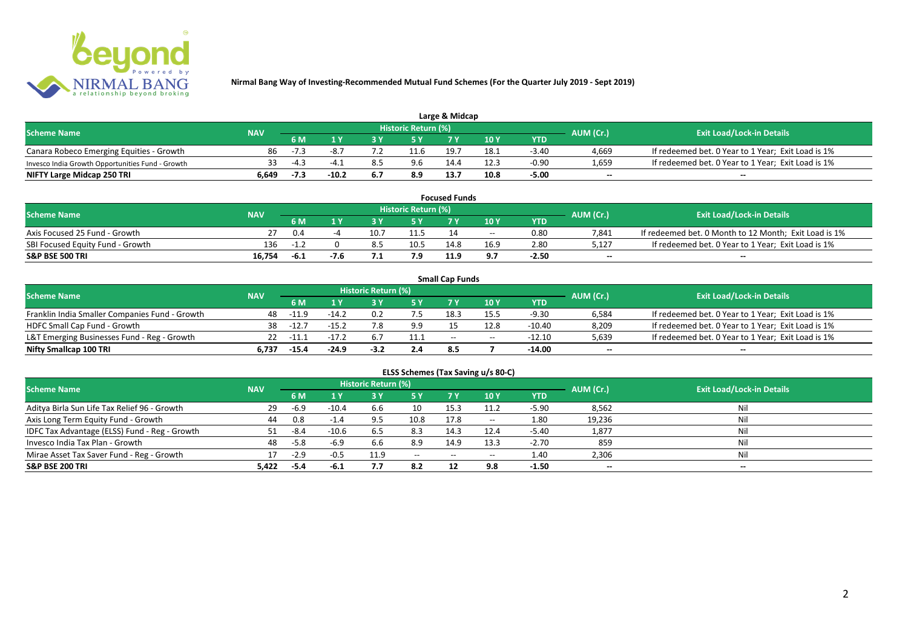

| Large & Midcap                                   |                   |        |         |     |                     |      |      |         |           |                                                    |  |  |
|--------------------------------------------------|-------------------|--------|---------|-----|---------------------|------|------|---------|-----------|----------------------------------------------------|--|--|
| <b>Scheme Name</b>                               |                   |        |         |     | Historic Return (%) |      |      |         | AUM (Cr.) | <b>Exit Load/Lock-in Details</b>                   |  |  |
|                                                  | <b>NAV</b><br>6 M |        |         | 10Y | YTD                 |      |      |         |           |                                                    |  |  |
| Canara Robeco Emerging Equities - Growth         | 86                | $-7.3$ |         |     | 11.6                | 19.7 | 18.1 | $-3.40$ | 4,669     | If redeemed bet. 0 Year to 1 Year; Exit Load is 1% |  |  |
| Invesco India Growth Opportunities Fund - Growth |                   | $-4.3$ |         |     | 9.6                 |      | 12.: | $-0.90$ | 1,659     | If redeemed bet. 0 Year to 1 Year; Exit Load is 1% |  |  |
| NIFTY Large Midcap 250 TRI                       | 6.649             | -7.3   | $-10.2$ | 6.7 | 8.9                 | 13.7 | 10.8 | $-5.00$ | $-$       | $- -$                                              |  |  |

|                                  |            |        |      |     |                     | <b>Focused Funds</b> |       |            |           |                                                       |
|----------------------------------|------------|--------|------|-----|---------------------|----------------------|-------|------------|-----------|-------------------------------------------------------|
| <b>Scheme Name</b>               | <b>NAV</b> |        |      |     | Historic Return (%) |                      |       |            | AUM (Cr.) | <b>Exit Load/Lock-in Details</b>                      |
|                                  | 6 M        |        |      |     | E V                 |                      | 10 Y  | <b>YTD</b> |           |                                                       |
| Axis Focused 25 Fund - Growth    |            | 0.4    |      |     |                     |                      | $- -$ | 0.80       | 7.841     | If redeemed bet. 0 Month to 12 Month; Exit Load is 1% |
| SBI Focused Equity Fund - Growth | 136        | -1.    |      | 8.5 | 10.5                | 14.8                 | 16.9  | 2.80       | 5,127     | If redeemed bet. 0 Year to 1 Year; Exit Load is 1%    |
| <b>S&amp;P BSE 500 TRI</b>       | 16.754     | $-6.1$ | -7.6 | .   |                     | 11.9                 | 9.7   | $-2.50$    | $- -$     | $-$                                                   |

|                                                |            |             |                                 |                     |      | <b>Small Cap Funds</b> |       |          |                          |                                                    |
|------------------------------------------------|------------|-------------|---------------------------------|---------------------|------|------------------------|-------|----------|--------------------------|----------------------------------------------------|
| <b>Scheme Name</b>                             | <b>NAV</b> |             |                                 | Historic Return (%) |      |                        |       |          |                          | <b>Exit Load/Lock-in Details</b>                   |
|                                                |            | 6 M         | AUM (Cr.)<br>10 Y<br><b>YTD</b> |                     |      |                        |       |          |                          |                                                    |
| Franklin India Smaller Companies Fund - Growth | 48.        | $-11.9$     | $-14.7$                         | 0.2                 |      | 18.3                   | 15.5  | -9.30    | 6,584                    | If redeemed bet. 0 Year to 1 Year; Exit Load is 1% |
| HDFC Small Cap Fund - Growth                   | 38         | $-12.7$     | $-15.2$                         | 7.8                 | 9.9  | 15                     | 12.8  | $-10.40$ | 8,209                    | If redeemed bet. 0 Year to 1 Year; Exit Load is 1% |
| L&T Emerging Businesses Fund - Reg - Growth    |            | $22 - 11.1$ | $-17.2$                         |                     | 11.1 | $-$                    | $- -$ | $-12.10$ | 5,639                    | If redeemed bet. 0 Year to 1 Year; Exit Load is 1% |
| Nifty Smallcap 100 TRI                         | 6.737      | -15.4       | $-24.9$                         | $-3.2$              | 2.4  | 8.5                    |       | -14.00   | $\overline{\phantom{a}}$ | $- -$                                              |

| ELSS Schemes (Tax Saving u/s 80-C)            |            |        |         |                            |                                       |           |       |            |           |                                  |  |  |
|-----------------------------------------------|------------|--------|---------|----------------------------|---------------------------------------|-----------|-------|------------|-----------|----------------------------------|--|--|
| <b>Scheme Name</b>                            | <b>NAV</b> |        |         | <b>Historic Return (%)</b> |                                       |           |       |            | AUM (Cr.) | <b>Exit Load/Lock-in Details</b> |  |  |
|                                               |            | 6 M    | 1 Y     | 73 Y                       | <b>5Y</b>                             | <b>7Y</b> | 10 Y  | <b>YTD</b> |           |                                  |  |  |
| Aditya Birla Sun Life Tax Relief 96 - Growth  | -29        | -6.9   | $-10.4$ | 6.6                        | 10                                    | 15.3      | 11.2  | $-5.90$    | 8,562     | Nil                              |  |  |
| Axis Long Term Equity Fund - Growth           | 44         | 0.8    | $-1.4$  | 9.5                        | 10.8                                  | 17.8      | $- -$ | 1.80       | 19,236    | Nil                              |  |  |
| IDFC Tax Advantage (ELSS) Fund - Reg - Growth |            | -8.4   | $-10.6$ | 6.5                        | 8.3                                   | 14.3      | 12.4  | $-5.40$    | 1,877     | Nil                              |  |  |
| Invesco India Tax Plan - Growth               | 48         | $-5.8$ | $-6.9$  | 6.6                        | 8.9                                   | 14.9      | 13.3  | $-2.70$    | 859       | Nil                              |  |  |
| Mirae Asset Tax Saver Fund - Reg - Growth     |            | $-2.9$ | $-0.5$  | 11.9                       | $\hspace{0.05cm}$ – $\hspace{0.05cm}$ | $- -$     | $- -$ | 1.40       | 2,306     | Nil                              |  |  |
| <b>S&amp;P BSE 200 TRI</b>                    | 5.422      | -5.4   | -6.1    | 7.7                        | 8.2                                   | 12        | 9.8   | $-1.50$    | $\sim$    | $\overline{\phantom{a}}$         |  |  |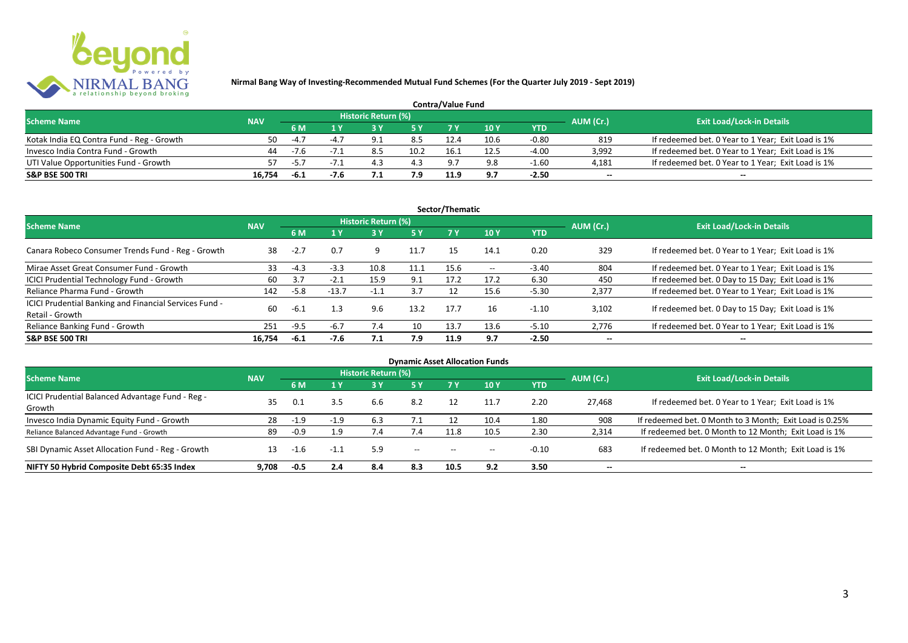

| <b>Contra/Value Fund</b>                  |            |        |  |                     |      |      |      |         |                          |                                                    |  |  |
|-------------------------------------------|------------|--------|--|---------------------|------|------|------|---------|--------------------------|----------------------------------------------------|--|--|
| <b>Scheme Name</b>                        | <b>NAV</b> |        |  | Historic Return (%) |      |      |      |         | AUM (Cr.)                | <b>Exit Load/Lock-in Details</b>                   |  |  |
|                                           |            | 6 M    |  |                     |      |      | 10 Y | YTD     |                          |                                                    |  |  |
| Kotak India EQ Contra Fund - Reg - Growth | 50         | $-4$   |  |                     | 8.5  |      | 10.6 | $-0.80$ | 819                      | If redeemed bet. 0 Year to 1 Year; Exit Load is 1% |  |  |
| Invesco India Contra Fund - Growth        | 44         | $-7.6$ |  |                     | 10.2 | 16.  | 12.5 | $-4.00$ | 3.992                    | If redeemed bet. 0 Year to 1 Year; Exit Load is 1% |  |  |
| UTI Value Opportunities Fund - Growth     |            | $-5.7$ |  |                     | 4.3  |      | 9.8  | $-1.60$ | 4,181                    | If redeemed bet. 0 Year to 1 Year; Exit Load is 1% |  |  |
| <b>S&amp;P BSE 500 TRI</b>                | 16.754     | -6.1   |  |                     | 7.9  | 11.9 | 9.7  | $-2.50$ | $\overline{\phantom{a}}$ | $\overline{\phantom{a}}$                           |  |  |

|                                                                           |            |        |         |                     |           | Sector/Thematic |                   |            |                          |                                                    |
|---------------------------------------------------------------------------|------------|--------|---------|---------------------|-----------|-----------------|-------------------|------------|--------------------------|----------------------------------------------------|
| <b>Scheme Name</b>                                                        | <b>NAV</b> |        |         | Historic Return (%) |           |                 |                   |            | AUM (Cr.)                | <b>Exit Load/Lock-in Details</b>                   |
|                                                                           |            | 6 M    | 1 Y     |                     | <b>5Y</b> | 7Y              | 10Y               | <b>YTD</b> |                          |                                                    |
| Canara Robeco Consumer Trends Fund - Reg - Growth                         | 38         | $-2.7$ | 0.7     | 9                   | 11.7      | 15              | 14.1              | 0.20       | 329                      | If redeemed bet. 0 Year to 1 Year; Exit Load is 1% |
| Mirae Asset Great Consumer Fund - Growth                                  | 33         | $-4.3$ | $-3.3$  | 10.8                | 11.1      | 15.6            | $\hspace{0.05cm}$ | $-3.40$    | 804                      | If redeemed bet. 0 Year to 1 Year; Exit Load is 1% |
| ICICI Prudential Technology Fund - Growth                                 | 60         | 3.7    | $-2.1$  | 15.9                | 9.1       | 17.2            | 17.2              | 6.30       | 450                      | If redeemed bet. 0 Day to 15 Day; Exit Load is 1%  |
| Reliance Pharma Fund - Growth                                             | 142        | $-5.8$ | $-13.7$ | $-1.1$              | 3.7       | 12              | 15.6              | $-5.30$    | 2,377                    | If redeemed bet. 0 Year to 1 Year; Exit Load is 1% |
| ICICI Prudential Banking and Financial Services Fund -<br>Retail - Growth | 60         | $-6.1$ | 1.3     | 9.6                 | 13.2      | 17.7            | 16                | $-1.10$    | 3.102                    | If redeemed bet. 0 Day to 15 Day; Exit Load is 1%  |
| Reliance Banking Fund - Growth                                            | 251        | $-9.5$ | $-6.7$  | 7.4                 | 10        | 13.7            | 13.6              | $-5.10$    | 2,776                    | If redeemed bet. 0 Year to 1 Year; Exit Load is 1% |
| <b>S&amp;P BSE 500 TRI</b>                                                | 16.754     | $-6.1$ | $-7.6$  | 7.1                 | 7.9       | 11.9            | 9.7               | $-2.50$    | $\overline{\phantom{a}}$ | $- -$                                              |

|                                                            |            |        |        |                            |                          |       | <b>Dynamic Asset Allocation Funds</b> |            |                          |                                                         |
|------------------------------------------------------------|------------|--------|--------|----------------------------|--------------------------|-------|---------------------------------------|------------|--------------------------|---------------------------------------------------------|
| <b>Scheme Name</b>                                         | <b>NAV</b> |        |        | <b>Historic Return (%)</b> |                          |       |                                       |            | AUM (Cr.)                | <b>Exit Load/Lock-in Details</b>                        |
|                                                            |            | 6 M    | 1 Y    | 3 Y                        | 5 Y                      |       | 10 Y                                  | <b>YTD</b> |                          |                                                         |
| ICICI Prudential Balanced Advantage Fund - Reg -<br>Growth | 35         | 0.1    | 3.5    | 6.6                        | 8.2                      |       |                                       | 2.20       | 27.468                   | If redeemed bet. 0 Year to 1 Year; Exit Load is 1%      |
| Invesco India Dynamic Equity Fund - Growth                 | 28         | $-1.9$ | $-1.9$ | 6.3                        |                          |       | 10.4                                  | 1.80       | 908                      | If redeemed bet. 0 Month to 3 Month; Exit Load is 0.25% |
| Reliance Balanced Advantage Fund - Growth                  | 89         | $-0.9$ | 1.9    | $\sqrt{.4}$                | 7.4                      | 11.8  | 10.5                                  | 2.30       | 2,314                    | If redeemed bet. 0 Month to 12 Month; Exit Load is 1%   |
| SBI Dynamic Asset Allocation Fund - Reg - Growth           |            | $-1.6$ | -1.1   | 5.9                        | $\hspace{0.05cm} \ldots$ | $- -$ | $- -$                                 | $-0.10$    | 683                      | If redeemed bet. 0 Month to 12 Month; Exit Load is 1%   |
| NIFTY 50 Hybrid Composite Debt 65:35 Index                 | 9.708      | $-0.5$ | 2.4    | 8.4                        | 8.3                      | 10.5  | 9.2                                   | 3.50       | $\overline{\phantom{a}}$ | $- -$                                                   |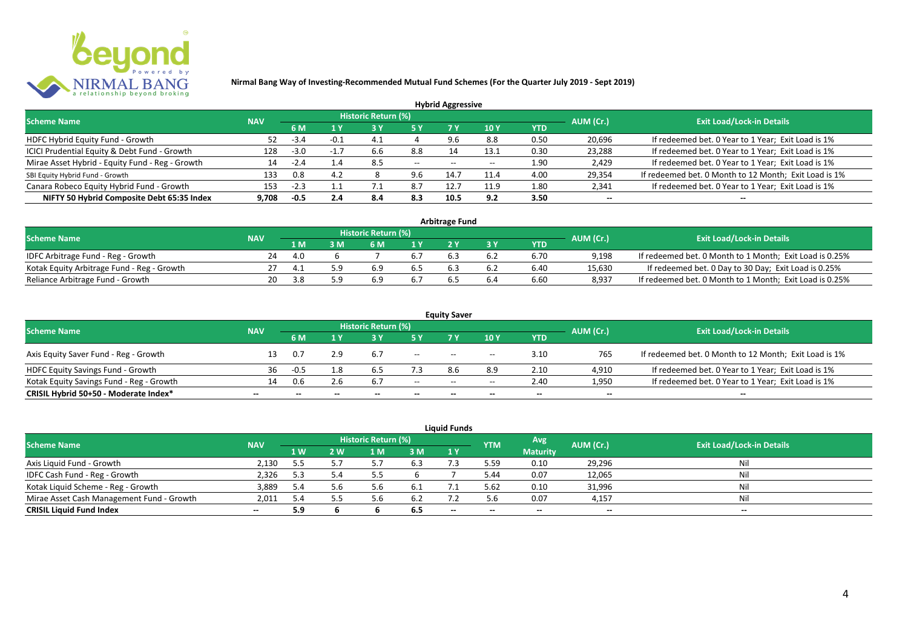

|                                                 |            |        |        |                            |           | <b>Hybrid Aggressive</b> |      |            |                          |                                                       |
|-------------------------------------------------|------------|--------|--------|----------------------------|-----------|--------------------------|------|------------|--------------------------|-------------------------------------------------------|
| <b>Scheme Name</b>                              | <b>NAV</b> |        |        | <b>Historic Return (%)</b> |           |                          |      |            | AUM (Cr.)                | <b>Exit Load/Lock-in Details</b>                      |
|                                                 |            | 6 M    | 1 Y    |                            | <b>5Y</b> | 7 Y                      | 10Y  | <b>YTD</b> |                          |                                                       |
| HDFC Hybrid Equity Fund - Growth                | 52         | -3.4   | $-0.1$ |                            |           |                          | 8.8  | 0.50       | 20,696                   | If redeemed bet. 0 Year to 1 Year; Exit Load is 1%    |
| ICICI Prudential Equity & Debt Fund - Growth    | 128        | $-3.0$ | $-1.7$ | 6.6                        | 8.8       | 14                       | 13.1 | 0.30       | 23,288                   | If redeemed bet. 0 Year to 1 Year; Exit Load is 1%    |
| Mirae Asset Hybrid - Equity Fund - Reg - Growth | 14         | $-2.4$ | 1.4    | 8.5                        | $--$      | $- -$                    |      | 1.90       | 2,429                    | If redeemed bet. 0 Year to 1 Year; Exit Load is 1%    |
| SBI Equity Hybrid Fund - Growth                 | 133        | 0.8    | 4.2    |                            | 9.6       | 14.7                     | 11.4 | 4.00       | 29,354                   | If redeemed bet. 0 Month to 12 Month; Exit Load is 1% |
| Canara Robeco Equity Hybrid Fund - Growth       | 153        | $-2.3$ |        |                            | 8.7       |                          | 11.9 | 1.80       | 2,341                    | If redeemed bet. 0 Year to 1 Year; Exit Load is 1%    |
| NIFTY 50 Hybrid Composite Debt 65:35 Index      | 9.708      | -0.5   | 2.4    | 8.4                        | 8.3       | 10.5                     | 9.2  | 3.50       | $\overline{\phantom{a}}$ | $\overline{\phantom{a}}$                              |

| <b>Arbitrage Fund</b>                      |            |      |  |                     |      |  |     |            |           |                                                         |
|--------------------------------------------|------------|------|--|---------------------|------|--|-----|------------|-----------|---------------------------------------------------------|
| <b>Scheme Name</b>                         | <b>NAV</b> |      |  | Historic Return (%) |      |  |     |            | AUM (Cr.) | <b>Exit Load/Lock-in Details</b>                        |
|                                            |            | l M  |  | 6 M                 |      |  |     | <b>YTD</b> |           |                                                         |
| IDFC Arbitrage Fund - Reg - Growth         | 24         | 4.0  |  |                     |      |  | 6.2 | 6.70       | 9.198     | If redeemed bet. 0 Month to 1 Month; Exit Load is 0.25% |
| Kotak Equity Arbitrage Fund - Reg - Growth |            | -4.1 |  | 6.9                 | .b 5 |  | 6.2 | 6.40       | 15,630    | If redeemed bet. 0 Day to 30 Day; Exit Load is 0.25%    |
| Reliance Arbitrage Fund - Growth           | 20         | 3.8  |  |                     |      |  | 6.4 | 6.60       | 8.937     | If redeemed bet. 0 Month to 1 Month; Exit Load is 0.25% |

|                                          |                          |        |                          |                     |                          | <b>Equity Saver</b>                   |                                       |                          |                          |                                                       |
|------------------------------------------|--------------------------|--------|--------------------------|---------------------|--------------------------|---------------------------------------|---------------------------------------|--------------------------|--------------------------|-------------------------------------------------------|
| <b>Scheme Name</b>                       | <b>NAV</b>               |        |                          | Historic Return (%) |                          |                                       |                                       |                          | AUM (Cr.)                | <b>Exit Load/Lock-in Details</b>                      |
|                                          |                          | 6 M    |                          |                     |                          |                                       | 10 Y                                  | YTD                      |                          |                                                       |
| Axis Equity Saver Fund - Reg - Growth    |                          | 0.7    | 2.9                      | 6.7                 | $\overline{\phantom{a}}$ | $- -$                                 | $\hspace{0.05cm}$ – $\hspace{0.05cm}$ | 3.10                     | 765                      | If redeemed bet. 0 Month to 12 Month; Exit Load is 1% |
| HDFC Equity Savings Fund - Growth        | 36                       | $-0.5$ | l.8                      |                     |                          | 8.6                                   | 8.9                                   | 2.10                     | 4,910                    | If redeemed bet. 0 Year to 1 Year; Exit Load is 1%    |
| Kotak Equity Savings Fund - Reg - Growth | 14                       | 0.6    | 2.6                      | 6.7                 | $- -$                    | $\hspace{0.05cm}$ – $\hspace{0.05cm}$ | $- -$                                 | 2.40                     | 1,950                    | If redeemed bet. 0 Year to 1 Year; Exit Load is 1%    |
| CRISIL Hybrid 50+50 - Moderate Index*    | $\overline{\phantom{a}}$ | $-$    | $\overline{\phantom{a}}$ | $\qquad \qquad$     | $\overline{\phantom{a}}$ | $- -$                                 | $\overline{\phantom{a}}$              | $\overline{\phantom{a}}$ | $\overline{\phantom{a}}$ | $\overline{\phantom{a}}$                              |

|                                           |                          |     |     |                     |       | <b>Liquid Funds</b>      |            |                 |                          |                                  |
|-------------------------------------------|--------------------------|-----|-----|---------------------|-------|--------------------------|------------|-----------------|--------------------------|----------------------------------|
| <b>Scheme Name</b>                        | <b>NAV</b>               |     |     | Historic Return (%) |       |                          | <b>YTM</b> | Avg             | AUM (Cr.)                | <b>Exit Load/Lock-in Details</b> |
|                                           |                          | 1W  | 2 W | 1 M                 | 3 M   | 1Y                       |            | <b>Maturity</b> |                          |                                  |
| Axis Liquid Fund - Growth                 | 2,130                    | 5.5 |     |                     | 6.3   |                          | 5.59       | 0.10            | 29,296                   | Nil                              |
| IDFC Cash Fund - Reg - Growth             | 2,326                    | 5.3 | 5.4 |                     |       |                          | 5.44       | 0.07            | 12,065                   | Nil                              |
| Kotak Liquid Scheme - Reg - Growth        | 3,889                    | 5.4 |     | 5.6                 | -6.1  |                          | 5.62       | 0.10            | 31,996                   | Nil                              |
| Mirae Asset Cash Management Fund - Growth | 2,011                    | 5.4 |     | 5.6                 | - 6.2 |                          | 5.6        | 0.07            | 4,157                    | Nil                              |
| <b>CRISIL Liquid Fund Index</b>           | $\overline{\phantom{a}}$ | 5.9 |     |                     | 6.5   | $\overline{\phantom{a}}$ | $\!-$      | $\sim$          | $\overline{\phantom{a}}$ | $- -$                            |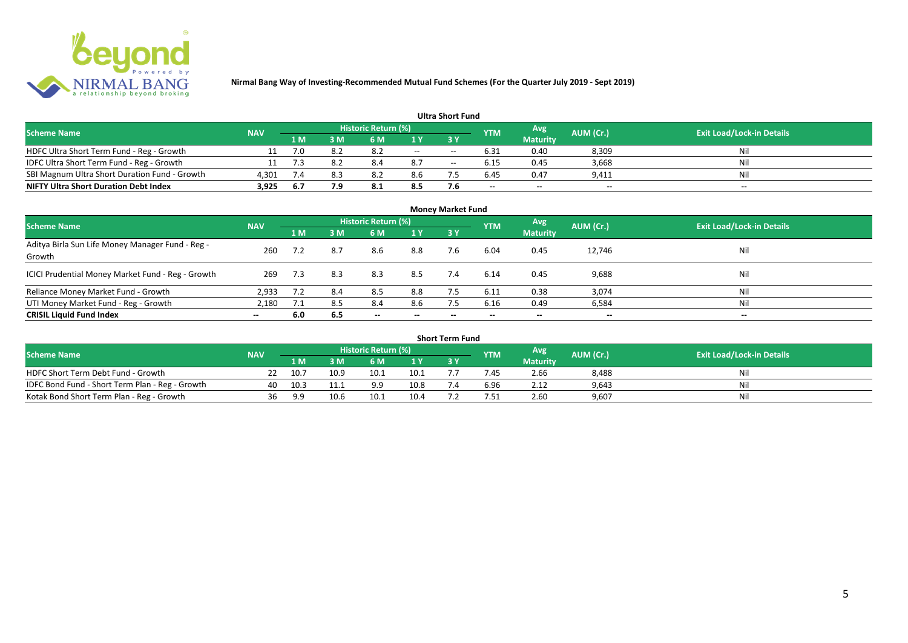

| <b>Ultra Short Fund</b>                       |            |        |      |                            |     |       |                 |                          |           |                                  |
|-----------------------------------------------|------------|--------|------|----------------------------|-----|-------|-----------------|--------------------------|-----------|----------------------------------|
| <b>Scheme Name</b>                            | <b>NAV</b> |        |      | <b>Historic Return (%)</b> |     |       | <b>YTM</b>      | Avg                      | AUM (Cr.) | <b>Exit Load/Lock-in Details</b> |
|                                               |            | '1 M . | 3 M' | 6 M                        |     |       |                 | <b>Maturity</b>          |           |                                  |
| HDFC Ultra Short Term Fund - Reg - Growth     |            | 7.0    | 8.2  | 8.2                        | $-$ | $- -$ | 6.31            | 0.40                     | 8,309     | Nil                              |
| IDFC Ultra Short Term Fund - Reg - Growth     |            | 7.3    | -8.2 | 8.4                        | 8.7 | $- -$ | 6.15            | 0.45                     | 3,668     | Nil                              |
| SBI Magnum Ultra Short Duration Fund - Growth | 4,301      | 7.4    | 8.3  | 8.2                        | 8.6 |       | 6.45            | 0.47                     | 9,411     | Nil                              |
| <b>NIFTY Ultra Short Duration Debt Index</b>  | 3,925      | -6.7   | 7.9  | 8.1                        | 8.5 | 7.6   | $\qquad \qquad$ | $\overline{\phantom{a}}$ | $\sim$    | $- -$                            |

| <b>Money Market Fund</b>                                   |            |     |     |                            |                          |           |            |                 |                          |                                  |
|------------------------------------------------------------|------------|-----|-----|----------------------------|--------------------------|-----------|------------|-----------------|--------------------------|----------------------------------|
| <b>Scheme Name</b>                                         | <b>NAV</b> |     |     | <b>Historic Return (%)</b> |                          |           | <b>YTM</b> | Avg             | AUM (Cr.)                | <b>Exit Load/Lock-in Details</b> |
|                                                            |            | 1 M | 3M  | 6 M                        | 1Y                       | <b>3Y</b> |            | <b>Maturity</b> |                          |                                  |
| Aditya Birla Sun Life Money Manager Fund - Reg -<br>Growth | 260        |     | 8.7 | 8.6                        | 8.8                      | 7.6       | 6.04       | 0.45            | 12,746                   | Nil                              |
| ICICI Prudential Money Market Fund - Reg - Growth          | 269        | 7.3 | 8.3 | 8.3                        | 8.5                      | 7.4       | 6.14       | 0.45            | 9,688                    | Nil                              |
| Reliance Money Market Fund - Growth                        | 2,933      | 7.2 | 8.4 | 8.5                        | 8.8                      |           | 6.11       | 0.38            | 3,074                    | Nil                              |
| UTI Money Market Fund - Reg - Growth                       | 2,180      | 7.1 | 8.5 | 8.4                        | 8.6                      | 7.5       | 6.16       | 0.49            | 6,584                    | Nil                              |
| <b>CRISIL Liquid Fund Index</b>                            | $- -$      | 6.0 | 6.5 | $\overline{\phantom{a}}$   | $\overline{\phantom{a}}$ | $\!-$     | $\!-$      | $\sim$          | $\overline{\phantom{a}}$ | $\overline{\phantom{a}}$         |

| Short Term Fund                                 |            |      |      |                     |                |  |            |                 |           |                                  |
|-------------------------------------------------|------------|------|------|---------------------|----------------|--|------------|-----------------|-----------|----------------------------------|
| <b>Scheme Name</b>                              | <b>NAV</b> |      |      | Historic Return (%) |                |  | <b>YTM</b> | Avg             | AUM (Cr.) | <b>Exit Load/Lock-in Details</b> |
|                                                 |            | 1 M  |      | 6 M                 | 1 <sub>Y</sub> |  |            | <b>Maturity</b> |           |                                  |
| HDFC Short Term Debt Fund - Growth              |            | 10.7 | 10.9 | 10.1                | 10.1           |  | /.45       | 2.66            | 8,488     | Nil                              |
| IDFC Bond Fund - Short Term Plan - Reg - Growth | 40         | 10.3 |      | a a                 | 10.8           |  | 6.96       | 2.12            | 9,643     | Nil                              |
| Kotak Bond Short Term Plan - Reg - Growth       | 36         | 9.9  | 10.6 | 10.1                | 10.4           |  | '.51       | 2.60            | 9,607     | Nil                              |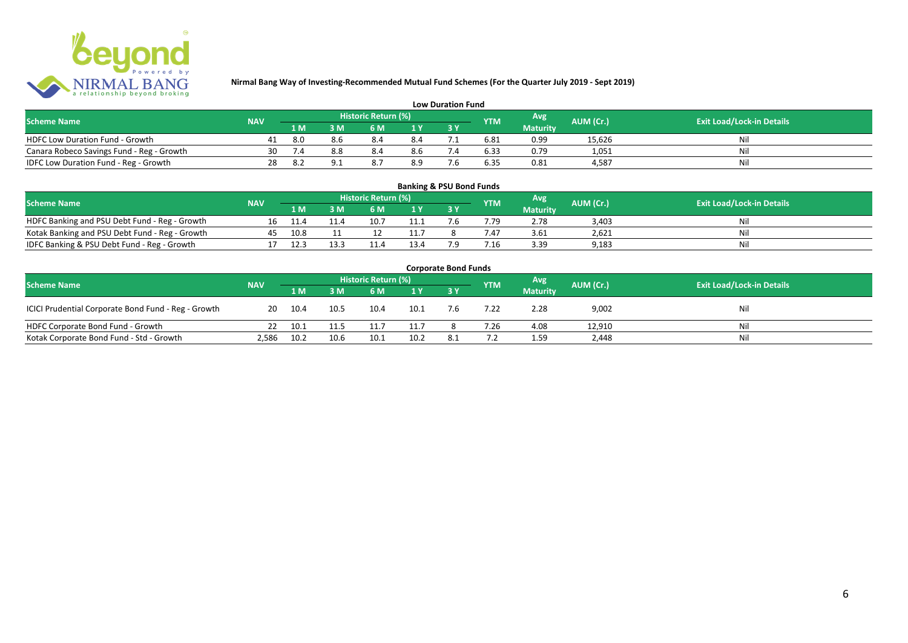

| <b>Low Duration Fund</b>                  |            |     |     |                     |     |  |            |                 |           |                                  |
|-------------------------------------------|------------|-----|-----|---------------------|-----|--|------------|-----------------|-----------|----------------------------------|
| <b>Scheme Name</b>                        | <b>NAV</b> |     |     | Historic Return (%) |     |  | <b>YTM</b> | Avg             | AUM (Cr.) | <b>Exit Load/Lock-in Details</b> |
|                                           |            | 1 M |     | 6 M                 |     |  |            | <b>Maturity</b> |           |                                  |
| <b>HDFC Low Duration Fund - Growth</b>    | 41         | 8.0 |     |                     | 8.4 |  | 6.81       | 0.99            | 15,626    | Ni                               |
| Canara Robeco Savings Fund - Reg - Growth | 30         |     | 8.8 | 8.4                 | 8.6 |  | 6.33       | 0.79            | 1,051     | Ni                               |
| IDFC Low Duration Fund - Reg - Growth     | 28         |     |     |                     | 8.9 |  | 6.35       | 0.81            | 4.587     | Ni                               |

#### **1 M 3 M 6 M 1 Y 3 Y** Notak Banking and PSU Debt Fund - Reg - Growth 16 11.4 11.4 10.7 11.1 7.6 7.79 2.78 3,403 Nil<br>
Kotak Banking and PSU Debt Fund - Reg - Growth 45 10.8 11 12 11.7 8 7.47 3.61 2,621 Nil Notak Banking and PSU Debt Fund - Reg - Growth <br>
17 12.3 13.3 11.4 13.4 7.9 7.16 3.39 9.183 9.183 9.183 11.4 Nil IDFC Banking & PSU Debt Fund - Reg - Growth 17 12.3 13.3 11.4 13.4 7.9 7.16 3.39 9,183 **Banking & PSU Bond Funds Scheme Name NAV REGISTER AUM (Cr.) AUM (Cr.)** Exit Load/Lock-in Details **Historic Return (%) Maturity**

| <b>Corporate Bond Funds</b>                         |            |         |      |                     |                |     |            |                 |           |                                  |
|-----------------------------------------------------|------------|---------|------|---------------------|----------------|-----|------------|-----------------|-----------|----------------------------------|
| <b>Scheme Name</b>                                  | <b>NAV</b> |         |      | Historic Return (%) |                |     | <b>YTM</b> | Avg             | AUM (Cr.) | <b>Exit Load/Lock-in Details</b> |
|                                                     |            | 1 M     | 3M   | 6 M                 | 1 <sup>Y</sup> |     |            | <b>Maturity</b> |           |                                  |
| ICICI Prudential Corporate Bond Fund - Reg - Growth |            | 20 10.4 | 10.5 | 10.4                | 10.1           | 7.6 | 7.22       | 2.28            | 9,002     | Nil                              |
| HDFC Corporate Bond Fund - Growth                   | 22         | 10.1    | 11.5 |                     | 11.7           |     | 7.26       | 4.08            | 12,910    | Nil                              |
| Kotak Corporate Bond Fund - Std - Growth            | 2,586      | 10.2    | 10.6 | 10.1                | 10.2           |     |            | 1.59            | 2,448     | Nil                              |